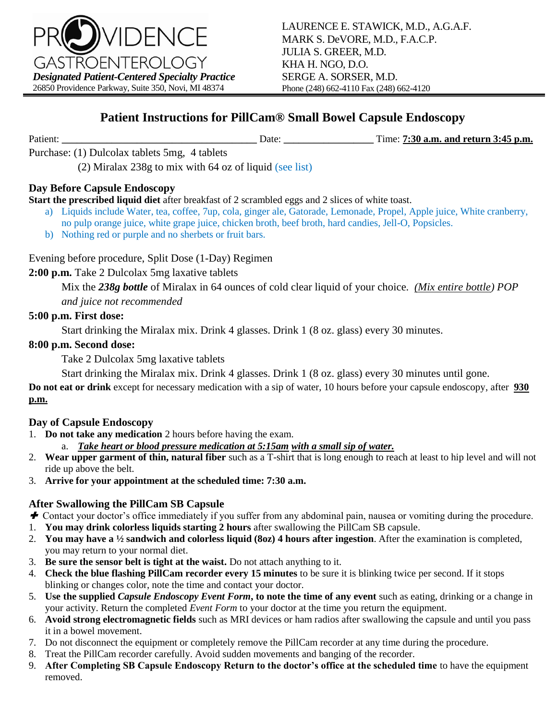

## **Patient Instructions for PillCam® Small Bowel Capsule Endoscopy**

Patient: **\_\_\_\_\_\_\_\_\_\_\_\_\_\_\_\_\_\_\_\_\_\_\_\_\_\_\_\_\_\_\_\_\_\_\_\_\_\_\_** Date: **\_\_\_\_\_\_\_\_\_\_\_\_\_\_\_\_\_\_** Time: **7:30 a.m. and return 3:45 p.m.**

Purchase: (1) Dulcolax tablets 5mg, 4 tablets

(2) Miralax 238g to mix with 64 oz of liquid (see list)

### **Day Before Capsule Endoscopy**

**Start the prescribed liquid diet** after breakfast of 2 scrambled eggs and 2 slices of white toast.

- a) Liquids include Water, tea, coffee, 7up, cola, ginger ale, Gatorade, Lemonade, Propel, Apple juice, White cranberry, no pulp orange juice, white grape juice, chicken broth, beef broth, hard candies, Jell-O, Popsicles.
- b) Nothing red or purple and no sherbets or fruit bars.

Evening before procedure, Split Dose (1-Day) Regimen

**2:00 p.m.** Take 2 Dulcolax 5mg laxative tablets

Mix the *238g bottle* of Miralax in 64 ounces of cold clear liquid of your choice. *(Mix entire bottle) POP* 

*and juice not recommended*

### **5:00 p.m. First dose:**

Start drinking the Miralax mix. Drink 4 glasses. Drink 1 (8 oz. glass) every 30 minutes.

### **8:00 p.m. Second dose:**

Take 2 Dulcolax 5mg laxative tablets

Start drinking the Miralax mix. Drink 4 glasses. Drink 1 (8 oz. glass) every 30 minutes until gone.

**Do not eat or drink** except for necessary medication with a sip of water, 10 hours before your capsule endoscopy, after **930 p.m.**

### **Day of Capsule Endoscopy**

- 1. **Do not take any medication** 2 hours before having the exam.
	- a. *Take heart or blood pressure medication at 5:15am with a small sip of water.*
- 2. **Wear upper garment of thin, natural fiber** such as a T-shirt that is long enough to reach at least to hip level and will not ride up above the belt.
- 3. **Arrive for your appointment at the scheduled time: 7:30 a.m.**

### **After Swallowing the PillCam SB Capsule**

- *►* Contact your doctor's office immediately if you suffer from any abdominal pain, nausea or vomiting during the procedure.
- 1. **You may drink colorless liquids starting 2 hours** after swallowing the PillCam SB capsule.
- 2. **You may have a ½ sandwich and colorless liquid (8oz) 4 hours after ingestion**. After the examination is completed, you may return to your normal diet.
- 3. **Be sure the sensor belt is tight at the waist.** Do not attach anything to it.
- 4. **Check the blue flashing PillCam recorder every 15 minutes** to be sure it is blinking twice per second. If it stops blinking or changes color, note the time and contact your doctor.
- 5. **Use the supplied** *Capsule Endoscopy Event Form***, to note the time of any event** such as eating, drinking or a change in your activity. Return the completed *Event Form* to your doctor at the time you return the equipment.
- 6. **Avoid strong electromagnetic fields** such as MRI devices or ham radios after swallowing the capsule and until you pass it in a bowel movement.
- 7. Do not disconnect the equipment or completely remove the PillCam recorder at any time during the procedure.
- 8. Treat the PillCam recorder carefully. Avoid sudden movements and banging of the recorder.
- 9. **After Completing SB Capsule Endoscopy Return to the doctor's office at the scheduled time** to have the equipment removed.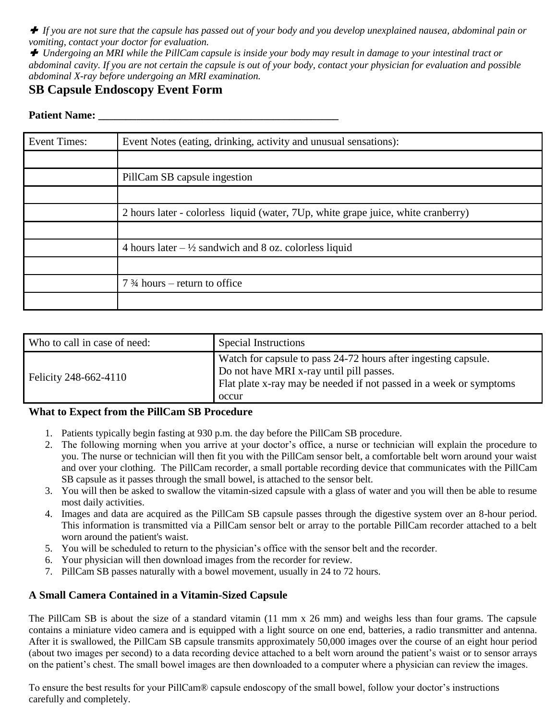*If you are not sure that the capsule has passed out of your body and you develop unexplained nausea, abdominal pain or vomiting, contact your doctor for evaluation.* 

 *Undergoing an MRI while the PillCam capsule is inside your body may result in damage to your intestinal tract or abdominal cavity. If you are not certain the capsule is out of your body, contact your physician for evaluation and possible abdominal X-ray before undergoing an MRI examination.* 

### **SB Capsule Endoscopy Event Form**

#### **Patient Name:**

| <b>Event Times:</b> | Event Notes (eating, drinking, activity and unusual sensations):                  |
|---------------------|-----------------------------------------------------------------------------------|
|                     |                                                                                   |
|                     | PillCam SB capsule ingestion                                                      |
|                     |                                                                                   |
|                     | 2 hours later - colorless liquid (water, 7Up, white grape juice, white cranberry) |
|                     |                                                                                   |
|                     | 4 hours later $-\frac{1}{2}$ sandwich and 8 oz. colorless liquid                  |
|                     |                                                                                   |
|                     | $7\frac{3}{4}$ hours – return to office                                           |
|                     |                                                                                   |

| Who to call in case of need: | Special Instructions                                                                                                                                                                      |
|------------------------------|-------------------------------------------------------------------------------------------------------------------------------------------------------------------------------------------|
| Felicity 248-662-4110        | Watch for capsule to pass 24-72 hours after ingesting capsule.<br>Do not have MRI x-ray until pill passes.<br>Flat plate x-ray may be needed if not passed in a week or symptoms<br>occur |

#### **What to Expect from the PillCam SB Procedure**

- 1. Patients typically begin fasting at 930 p.m. the day before the PillCam SB procedure.
- 2. The following morning when you arrive at your doctor's office, a nurse or technician will explain the procedure to you. The nurse or technician will then fit you with the PillCam sensor belt, a comfortable belt worn around your waist and over your clothing. The PillCam recorder, a small portable recording device that communicates with the PillCam SB capsule as it passes through the small bowel, is attached to the sensor belt.
- 3. You will then be asked to swallow the vitamin-sized capsule with a glass of water and you will then be able to resume most daily activities.
- 4. Images and data are acquired as the PillCam SB capsule passes through the digestive system over an 8-hour period. This information is transmitted via a PillCam sensor belt or array to the portable PillCam recorder attached to a belt worn around the patient's waist.
- 5. You will be scheduled to return to the physician's office with the sensor belt and the recorder.
- 6. Your physician will then download images from the recorder for review.
- 7. PillCam SB passes naturally with a bowel movement, usually in 24 to 72 hours.

### **A Small Camera Contained in a Vitamin-Sized Capsule**

The PillCam SB is about the size of a standard vitamin (11 mm x 26 mm) and weighs less than four grams. The capsule contains a miniature video camera and is equipped with a light source on one end, batteries, a radio transmitter and antenna. After it is swallowed, the PillCam SB capsule transmits approximately 50,000 images over the course of an eight hour period (about two images per second) to a data recording device attached to a belt worn around the patient's waist or to sensor arrays on the patient's chest. The small bowel images are then downloaded to a computer where a physician can review the images.

To ensure the best results for your PillCam® capsule endoscopy of the small bowel, follow your doctor's instructions carefully and completely.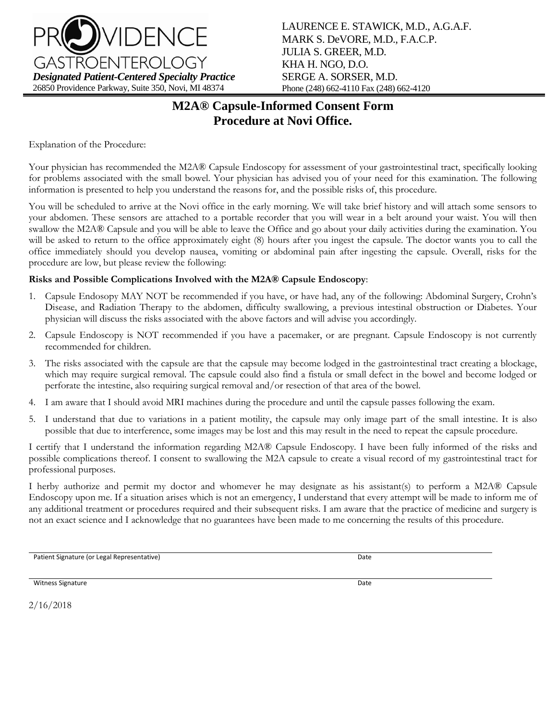

LAURENCE E. STAWICK, M.D., A.G.A.F. MARK S. DeVORE, M.D., F.A.C.P. JULIA S. GREER, M.D. KHA H. NGO, D.O. SERGE A. SORSER, M.D. Phone (248) 662-4110 Fax (248) 662-4120

# **M2A® Capsule-Informed Consent Form Procedure at Novi Office.**

Explanation of the Procedure:

Your physician has recommended the M2A® Capsule Endoscopy for assessment of your gastrointestinal tract, specifically looking for problems associated with the small bowel. Your physician has advised you of your need for this examination. The following information is presented to help you understand the reasons for, and the possible risks of, this procedure.

You will be scheduled to arrive at the Novi office in the early morning. We will take brief history and will attach some sensors to your abdomen. These sensors are attached to a portable recorder that you will wear in a belt around your waist. You will then swallow the M2A® Capsule and you will be able to leave the Office and go about your daily activities during the examination. You will be asked to return to the office approximately eight (8) hours after you ingest the capsule. The doctor wants you to call the office immediately should you develop nausea, vomiting or abdominal pain after ingesting the capsule. Overall, risks for the procedure are low, but please review the following:

#### **Risks and Possible Complications Involved with the M2A® Capsule Endoscopy**:

- 1. Capsule Endosopy MAY NOT be recommended if you have, or have had, any of the following: Abdominal Surgery, Crohn's Disease, and Radiation Therapy to the abdomen, difficulty swallowing, a previous intestinal obstruction or Diabetes. Your physician will discuss the risks associated with the above factors and will advise you accordingly.
- 2. Capsule Endoscopy is NOT recommended if you have a pacemaker, or are pregnant. Capsule Endoscopy is not currently recommended for children.
- 3. The risks associated with the capsule are that the capsule may become lodged in the gastrointestinal tract creating a blockage, which may require surgical removal. The capsule could also find a fistula or small defect in the bowel and become lodged or perforate the intestine, also requiring surgical removal and/or resection of that area of the bowel.
- 4. I am aware that I should avoid MRI machines during the procedure and until the capsule passes following the exam.
- 5. I understand that due to variations in a patient motility, the capsule may only image part of the small intestine. It is also possible that due to interference, some images may be lost and this may result in the need to repeat the capsule procedure.

I certify that I understand the information regarding M2A® Capsule Endoscopy. I have been fully informed of the risks and possible complications thereof. I consent to swallowing the M2A capsule to create a visual record of my gastrointestinal tract for professional purposes.

I herby authorize and permit my doctor and whomever he may designate as his assistant(s) to perform a M2A® Capsule Endoscopy upon me. If a situation arises which is not an emergency, I understand that every attempt will be made to inform me of any additional treatment or procedures required and their subsequent risks. I am aware that the practice of medicine and surgery is not an exact science and I acknowledge that no guarantees have been made to me concerning the results of this procedure.

Patient Signature (or Legal Representative) and the control of the control of the Date of Date Date

Witness Signature **Date** 

2/16/2018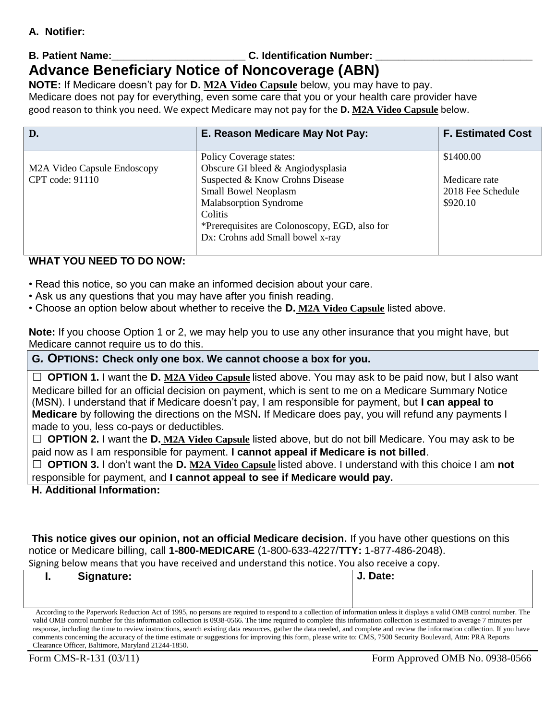### **A. Notifier:**

# **B. Patient Name: B. Patient Name: C. Identification Number: Advance Beneficiary Notice of Noncoverage (ABN)**

**NOTE:** If Medicare doesn't pay for **D. M2A Video Capsule** below, you may have to pay. Medicare does not pay for everything, even some care that you or your health care provider have good reason to think you need. We expect Medicare may not pay for the **D. M2A Video Capsule** below.

| D.                          | E. Reason Medicare May Not Pay:               | <b>F. Estimated Cost</b> |
|-----------------------------|-----------------------------------------------|--------------------------|
|                             | Policy Coverage states:                       | \$1400.00                |
| M2A Video Capsule Endoscopy | Obscure GI bleed & Angiodysplasia             |                          |
| CPT code: 91110             | Suspected & Know Crohns Disease               | Medicare rate            |
|                             | <b>Small Bowel Neoplasm</b>                   | 2018 Fee Schedule        |
|                             | <b>Malabsorption Syndrome</b>                 | \$920.10                 |
|                             | Colitis                                       |                          |
|                             | *Prerequisites are Colonoscopy, EGD, also for |                          |
|                             | Dx: Crohns add Small bowel x-ray              |                          |
|                             |                                               |                          |

### **WHAT YOU NEED TO DO NOW:**

- Read this notice, so you can make an informed decision about your care.
- Ask us any questions that you may have after you finish reading.
- Choose an option below about whether to receive the **D. M2A Video Capsule** listed above.

**Note:** If you choose Option 1 or 2, we may help you to use any other insurance that you might have, but Medicare cannot require us to do this.

**G***.* **OPTIONS: Check only one box. We cannot choose a box for you.** 

☐ **OPTION 1.** I want the **D. M2A Video Capsule** listed above. You may ask to be paid now, but I also want Medicare billed for an official decision on payment, which is sent to me on a Medicare Summary Notice (MSN). I understand that if Medicare doesn't pay, I am responsible for payment, but **I can appeal to Medicare** by following the directions on the MSN**.** If Medicare does pay, you will refund any payments I made to you, less co-pays or deductibles.

☐ **OPTION 2.** I want the **D. M2A Video Capsule** listed above, but do not bill Medicare. You may ask to be paid now as I am responsible for payment. **I cannot appeal if Medicare is not billed**.

☐ **OPTION 3.** I don't want the **D. M2A Video Capsule** listed above. I understand with this choice I am **not**  responsible for payment, and **I cannot appeal to see if Medicare would pay.** 

### **H. Additional Information:**

**This notice gives our opinion, not an official Medicare decision.** If you have other questions on this notice or Medicare billing, call **1-800-MEDICARE** (1-800-633-4227/**TTY:** 1-877-486-2048).

Signing below means that you have received and understand this notice. You also receive a copy.

| Signature:<br>                                                                                                                                                               | J. Date: |  |  |  |
|------------------------------------------------------------------------------------------------------------------------------------------------------------------------------|----------|--|--|--|
|                                                                                                                                                                              |          |  |  |  |
|                                                                                                                                                                              |          |  |  |  |
| According to the Paperwork Reduction Act of 1995, no persons are required to respond to a collection of information unless it displays a valid OMB control number. The       |          |  |  |  |
| valid OMB control number for this information collection is 0938-0566. The time required to complete this information collection is estimated to average 7 minutes per       |          |  |  |  |
| response, including the time to review instructions, search existing data resources, gather the data needed, and complete and review the information collection. If you have |          |  |  |  |
| comments concerning the accuracy of the time estimate or suggestions for improving this form, please write to: CMS, 7500 Security Boulevard, Attn: PRA Reports               |          |  |  |  |

Clearance Officer, Baltimore, Maryland 21244-1850.